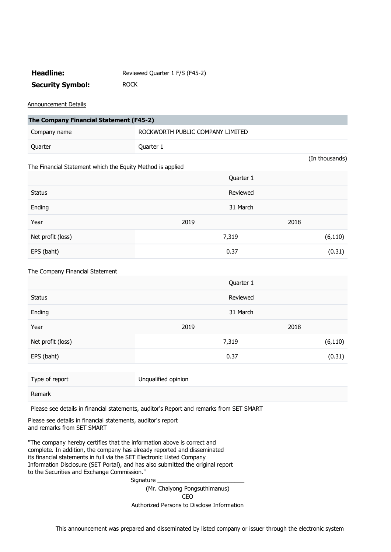## Headline: Reviewed Quarter 1 F/S (F45-2) **Security Symbol:** ROCK

Announcement Details

| The Company Financial Statement (F45-2)                    |                                  |                |  |
|------------------------------------------------------------|----------------------------------|----------------|--|
| Company name                                               | ROCKWORTH PUBLIC COMPANY LIMITED |                |  |
| Quarter                                                    | Quarter 1                        |                |  |
| The Financial Statement which the Equity Method is applied |                                  | (In thousands) |  |
|                                                            | Quarter 1                        |                |  |
| <b>Status</b>                                              | Reviewed                         |                |  |
| Ending                                                     | 31 March                         |                |  |
| Year                                                       | 2019                             | 2018           |  |
| Net profit (loss)                                          | 7,319                            | (6, 110)       |  |
| EPS (baht)                                                 | 0.37                             | (0.31)         |  |
|                                                            |                                  |                |  |

## The Company Financial Statement

|                   | Quarter 1 |          |  |
|-------------------|-----------|----------|--|
| <b>Status</b>     | Reviewed  |          |  |
| Ending            | 31 March  |          |  |
| Year              | 2019      | 2018     |  |
| Net profit (loss) | 7,319     | (6, 110) |  |
| EPS (baht)        | 0.37      | (0.31)   |  |

Type of report Unqualified opinion

Remark

Please see details in financial statements, auditor's Report and remarks from SET SMART

Please see details in financial statements, auditor's report and remarks from SET SMART

"The company hereby certifies that the information above is correct and complete. In addition, the company has already reported and disseminated its financial statements in full via the SET Electronic Listed Company Information Disclosure (SET Portal), and has also submitted the original report to the Securities and Exchange Commission."

> Signature (Mr. Chaiyong Pongsuthimanus)

CEO

Authorized Persons to Disclose Information